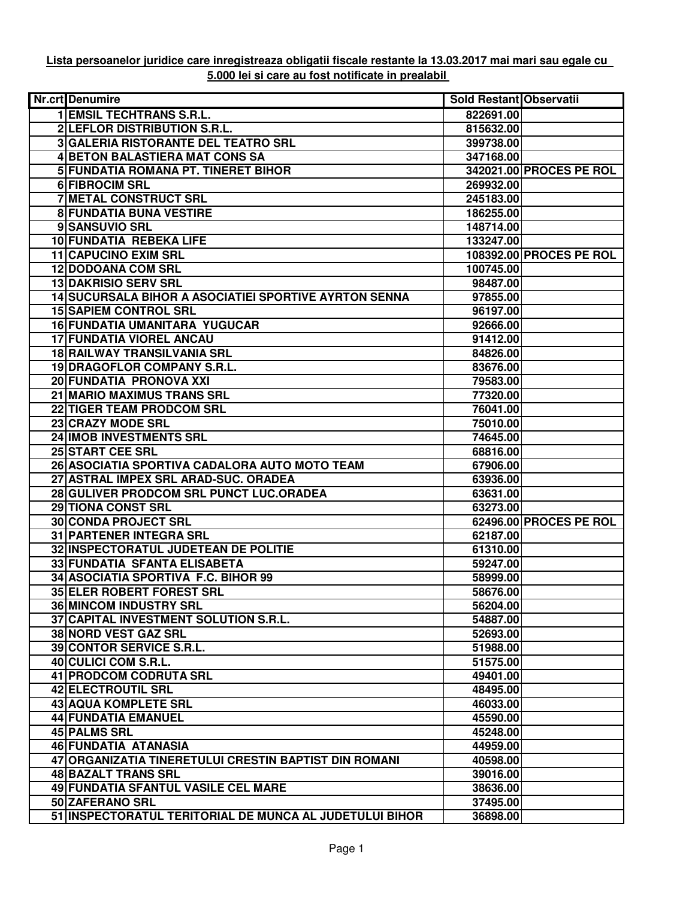## **Lista persoanelor juridice care inregistreaza obligatii fiscale restante la 13.03.2017 mai mari sau egale cu 5.000 lei si care au fost notificate in prealabil**

| Nr.crt Denumire                                              | Sold Restant Observatii |                         |
|--------------------------------------------------------------|-------------------------|-------------------------|
| <b>1 EMSIL TECHTRANS S.R.L.</b>                              | 822691.00               |                         |
| 2 LEFLOR DISTRIBUTION S.R.L.                                 | 815632.00               |                         |
| <b>3 GALERIA RISTORANTE DEL TEATRO SRL</b>                   | 399738.00               |                         |
| 4 BETON BALASTIERA MAT CONS SA                               | 347168.00               |                         |
| 5 FUNDATIA ROMANA PT. TINERET BIHOR                          |                         | 342021.00 PROCES PE ROL |
| 6 FIBROCIM SRL                                               | 269932.00               |                         |
| <b>7 METAL CONSTRUCT SRL</b>                                 | 245183.00               |                         |
| <b>8 FUNDATIA BUNA VESTIRE</b>                               | 186255.00               |                         |
| 9 SANSUVIO SRL                                               | 148714.00               |                         |
| 10 FUNDATIA REBEKA LIFE                                      | 133247.00               |                         |
| 11 CAPUCINO EXIM SRL                                         |                         | 108392.00 PROCES PE ROL |
| <b>12 DODOANA COM SRL</b>                                    | 100745.00               |                         |
| <b>13 DAKRISIO SERV SRL</b>                                  | 98487.00                |                         |
| <b>14 SUCURSALA BIHOR A ASOCIATIEI SPORTIVE AYRTON SENNA</b> | 97855.00                |                         |
| <b>15 SAPIEM CONTROL SRL</b>                                 | 96197.00                |                         |
| 16 FUNDATIA UMANITARA YUGUCAR                                | 92666.00                |                         |
| <b>17 FUNDATIA VIOREL ANCAU</b>                              | 91412.00                |                         |
| <b>18 RAILWAY TRANSILVANIA SRL</b>                           | 84826.00                |                         |
| <b>19 DRAGOFLOR COMPANY S.R.L.</b>                           | 83676.00                |                         |
| 20 FUNDATIA PRONOVA XXI                                      | 79583.00                |                         |
| 21 MARIO MAXIMUS TRANS SRL                                   | 77320.00                |                         |
| 22 TIGER TEAM PRODCOM SRL                                    | 76041.00                |                         |
| 23 CRAZY MODE SRL                                            | 75010.00                |                         |
| 24 IMOB INVESTMENTS SRL                                      | 74645.00                |                         |
| 25 START CEE SRL                                             | 68816.00                |                         |
| 26 ASOCIATIA SPORTIVA CADALORA AUTO MOTO TEAM                | 67906.00                |                         |
| 27 ASTRAL IMPEX SRL ARAD-SUC. ORADEA                         | 63936.00                |                         |
| 28 GULIVER PRODCOM SRL PUNCT LUC.ORADEA                      | 63631.00                |                         |
| <b>29 TIONA CONST SRL</b>                                    | 63273.00                |                         |
| <b>30 CONDA PROJECT SRL</b>                                  |                         | 62496.00 PROCES PE ROL  |
| <b>31 PARTENER INTEGRA SRL</b>                               | 62187.00                |                         |
| 32 INSPECTORATUL JUDETEAN DE POLITIE                         | 61310.00                |                         |
| 33 FUNDATIA SFANTA ELISABETA                                 | 59247.00                |                         |
| 34 ASOCIATIA SPORTIVA F.C. BIHOR 99                          | 58999.00                |                         |
| 35 ELER ROBERT FOREST SRL                                    | 58676.00                |                         |
| <b>36 MINCOM INDUSTRY SRL</b>                                | 56204.00                |                         |
| 37 CAPITAL INVESTMENT SOLUTION S.R.L.                        | 54887.00                |                         |
| 38 NORD VEST GAZ SRL                                         | 52693.00                |                         |
| 39 CONTOR SERVICE S.R.L.                                     | 51988.00                |                         |
| 40 CULICI COM S.R.L.                                         | 51575.00                |                         |
| 41 PRODCOM CODRUTA SRL                                       | 49401.00                |                         |
| <b>42 ELECTROUTIL SRL</b>                                    | 48495.00                |                         |
| <b>43 AQUA KOMPLETE SRL</b>                                  | 46033.00                |                         |
| <b>44 FUNDATIA EMANUEL</b>                                   | 45590.00                |                         |
| <b>45 PALMS SRL</b>                                          | 45248.00                |                         |
| 46 FUNDATIA ATANASIA                                         | 44959.00                |                         |
| 47 ORGANIZATIA TINERETULUI CRESTIN BAPTIST DIN ROMANI        | 40598.00                |                         |
| <b>48 BAZALT TRANS SRL</b>                                   | 39016.00                |                         |
| 49 FUNDATIA SFANTUL VASILE CEL MARE                          | 38636.00                |                         |
| 50 ZAFERANO SRL                                              | 37495.00                |                         |
| 51 INSPECTORATUL TERITORIAL DE MUNCA AL JUDETULUI BIHOR      | 36898.00                |                         |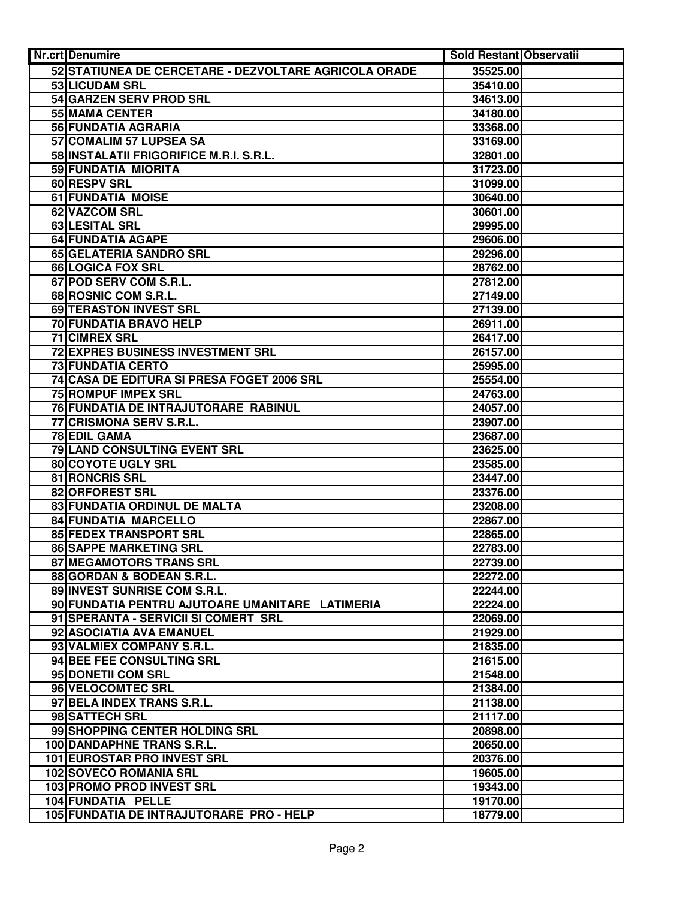| <b>Nr.crt</b> Denumire        |                                                       | <b>Sold Restant Observatii</b> |  |
|-------------------------------|-------------------------------------------------------|--------------------------------|--|
|                               | 52 STATIUNEA DE CERCETARE - DEZVOLTARE AGRICOLA ORADE | 35525.00                       |  |
| 53 LICUDAM SRL                |                                                       | 35410.00                       |  |
| 54 GARZEN SERV PROD SRL       |                                                       | 34613.00                       |  |
| 55 MAMA CENTER                |                                                       | 34180.00                       |  |
| 56 FUNDATIA AGRARIA           |                                                       | 33368.00                       |  |
| 57 COMALIM 57 LUPSEA SA       |                                                       | 33169.00                       |  |
|                               | 58 INSTALATII FRIGORIFICE M.R.I. S.R.L.               | 32801.00                       |  |
| 59 FUNDATIA MIORITA           |                                                       | 31723.00                       |  |
| 60 RESPV SRL                  |                                                       | 31099.00                       |  |
| 61 FUNDATIA MOISE             |                                                       | 30640.00                       |  |
| 62 VAZCOM SRL                 |                                                       | 30601.00                       |  |
| 63 LESITAL SRL                |                                                       | 29995.00                       |  |
| 64 FUNDATIA AGAPE             |                                                       | 29606.00                       |  |
| 65 GELATERIA SANDRO SRL       |                                                       | 29296.00                       |  |
| 66 LOGICA FOX SRL             |                                                       | 28762.00                       |  |
| 67 POD SERV COM S.R.L.        |                                                       | 27812.00                       |  |
| 68 ROSNIC COM S.R.L.          |                                                       | 27149.00                       |  |
| <b>69 TERASTON INVEST SRL</b> |                                                       | 27139.00                       |  |
| 70 FUNDATIA BRAVO HELP        |                                                       | 26911.00                       |  |
| <b>71 CIMREX SRL</b>          |                                                       | 26417.00                       |  |
|                               | <b>72 EXPRES BUSINESS INVESTMENT SRL</b>              | 26157.00                       |  |
| <b>73 FUNDATIA CERTO</b>      |                                                       | 25995.00                       |  |
|                               | 74 CASA DE EDITURA SI PRESA FOGET 2006 SRL            | 25554.00                       |  |
| <b>75 ROMPUF IMPEX SRL</b>    |                                                       | 24763.00                       |  |
|                               | 76 FUNDATIA DE INTRAJUTORARE RABINUL                  | 24057.00                       |  |
| 77 CRISMONA SERV S.R.L.       |                                                       | 23907.00                       |  |
| 78 EDIL GAMA                  |                                                       | 23687.00                       |  |
| 79 LAND CONSULTING EVENT SRL  |                                                       | 23625.00                       |  |
| 80 COYOTE UGLY SRL            |                                                       | 23585.00                       |  |
| 81 RONCRIS SRL                |                                                       | 23447.00                       |  |
| 82 ORFOREST SRL               |                                                       | 23376.00                       |  |
| 83 FUNDATIA ORDINUL DE MALTA  |                                                       | 23208.00                       |  |
| <b>84 FUNDATIA MARCELLO</b>   |                                                       | 22867.00                       |  |
| 85 FEDEX TRANSPORT SRL        |                                                       | 22865.00                       |  |
| <b>86 SAPPE MARKETING SRL</b> |                                                       | 22783.00                       |  |
| 87 MEGAMOTORS TRANS SRL       |                                                       | 22739.00                       |  |
| 88 GORDAN & BODEAN S.R.L.     |                                                       | 22272.00                       |  |
| 89 INVEST SUNRISE COM S.R.L.  |                                                       | 22244.00                       |  |
|                               | 90 FUNDATIA PENTRU AJUTOARE UMANITARE LATIMERIA       | 22224.00                       |  |
|                               | 91 SPERANTA - SERVICII SI COMERT SRL                  | 22069.00                       |  |
| 92 ASOCIATIA AVA EMANUEL      |                                                       | 21929.00                       |  |
| 93 VALMIEX COMPANY S.R.L.     |                                                       | 21835.00                       |  |
| 94 BEE FEE CONSULTING SRL     |                                                       | 21615.00                       |  |
| 95 DONETII COM SRL            |                                                       | 21548.00                       |  |
| 96 VELOCOMTEC SRL             |                                                       | 21384.00                       |  |
| 97 BELA INDEX TRANS S.R.L.    |                                                       | 21138.00                       |  |
| 98 SATTECH SRL                |                                                       | 21117.00                       |  |
|                               | 99 SHOPPING CENTER HOLDING SRL                        | 20898.00                       |  |
| 100 DANDAPHNE TRANS S.R.L.    |                                                       | 20650.00                       |  |
| 101 EUROSTAR PRO INVEST SRL   |                                                       | 20376.00                       |  |
| <b>102 SOVECO ROMANIA SRL</b> |                                                       | 19605.00                       |  |
| 103 PROMO PROD INVEST SRL     |                                                       | 19343.00                       |  |
| 104 FUNDATIA PELLE            |                                                       | 19170.00                       |  |
|                               | 105 FUNDATIA DE INTRAJUTORARE PRO - HELP              | 18779.00                       |  |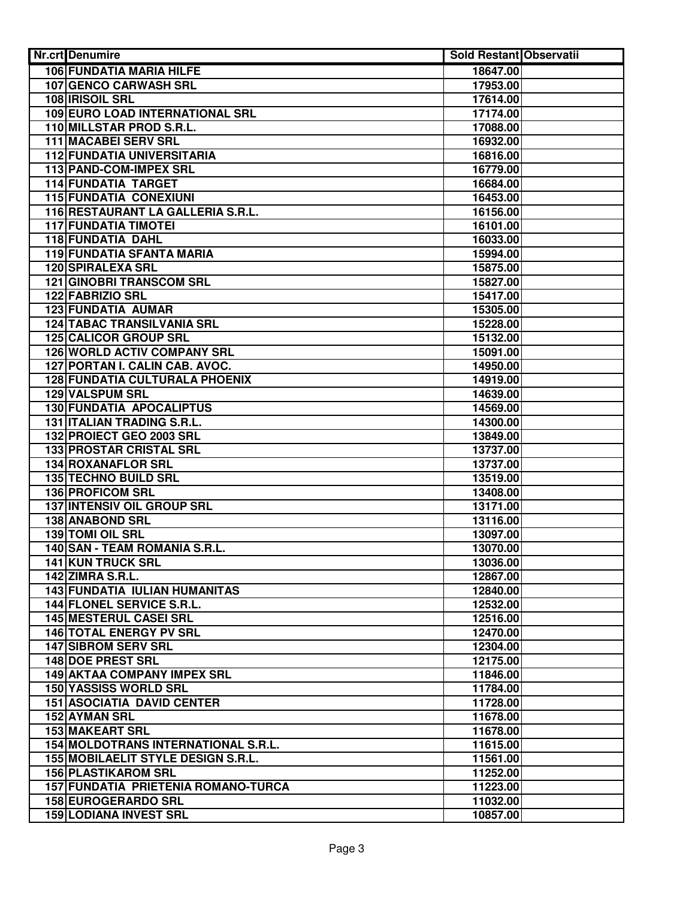| <b>Nr.crt</b> Denumire                    | <b>Sold Restant Observatii</b> |  |
|-------------------------------------------|--------------------------------|--|
| <b>106 FUNDATIA MARIA HILFE</b>           | 18647.00                       |  |
| <b>107 GENCO CARWASH SRL</b>              | 17953.00                       |  |
| 108 <b>IRISOIL SRL</b>                    | 17614.00                       |  |
| 109 EURO LOAD INTERNATIONAL SRL           | 17174.00                       |  |
| 110 MILLSTAR PROD S.R.L.                  | 17088.00                       |  |
| <b>111 MACABEI SERV SRL</b>               | 16932.00                       |  |
| <b>112 FUNDATIA UNIVERSITARIA</b>         | 16816.00                       |  |
| 113 PAND-COM-IMPEX SRL                    | 16779.00                       |  |
| <b>114 FUNDATIA TARGET</b>                | 16684.00                       |  |
| <b>115 FUNDATIA CONEXIUNI</b>             | 16453.00                       |  |
| 116 RESTAURANT LA GALLERIA S.R.L.         | 16156.00                       |  |
| <b>117 FUNDATIA TIMOTEI</b>               | 16101.00                       |  |
| <b>118 FUNDATIA DAHL</b>                  | 16033.00                       |  |
| <b>119 FUNDATIA SFANTA MARIA</b>          | 15994.00                       |  |
| <b>120 SPIRALEXA SRL</b>                  | 15875.00                       |  |
| <b>121 GINOBRI TRANSCOM SRL</b>           | 15827.00                       |  |
| <b>122 FABRIZIO SRL</b>                   | 15417.00                       |  |
| 123 FUNDATIA AUMAR                        | 15305.00                       |  |
| <b>124 TABAC TRANSILVANIA SRL</b>         | 15228.00                       |  |
| 125 CALICOR GROUP SRL                     | 15132.00                       |  |
| <b>126 WORLD ACTIV COMPANY SRL</b>        | 15091.00                       |  |
| 127 PORTAN I. CALIN CAB. AVOC.            | 14950.00                       |  |
| <b>128 FUNDATIA CULTURALA PHOENIX</b>     | 14919.00                       |  |
| 129 VALSPUM SRL                           | 14639.00                       |  |
| <b>130 FUNDATIA APOCALIPTUS</b>           | 14569.00                       |  |
| 131 ITALIAN TRADING S.R.L.                | 14300.00                       |  |
| 132 PROIECT GEO 2003 SRL                  | 13849.00                       |  |
| 133 PROSTAR CRISTAL SRL                   | 13737.00                       |  |
| <b>134 ROXANAFLOR SRL</b>                 | 13737.00                       |  |
| <b>135 TECHNO BUILD SRL</b>               | 13519.00                       |  |
| 136 PROFICOM SRL                          | 13408.00                       |  |
| <b>137 INTENSIV OIL GROUP SRL</b>         | 13171.00                       |  |
| <b>138 ANABOND SRL</b>                    | 13116.00                       |  |
| 139 TOMI OIL SRL                          | 13097.00                       |  |
| 140 SAN - TEAM ROMANIA S.R.L.             | 13070.00                       |  |
| 141 KUN TRUCK SRL                         | 13036.00                       |  |
| <b>142 ZIMRA S.R.L.</b>                   | 12867.00                       |  |
| <b>143 FUNDATIA IULIAN HUMANITAS</b>      | 12840.00                       |  |
| 144 FLONEL SERVICE S.R.L.                 | 12532.00                       |  |
| 145 MESTERUL CASEI SRL                    | 12516.00                       |  |
| <b>146 TOTAL ENERGY PV SRL</b>            | 12470.00                       |  |
| <b>147 SIBROM SERV SRL</b>                | 12304.00                       |  |
| 148 DOE PREST SRL                         | 12175.00                       |  |
| <b>149 AKTAA COMPANY IMPEX SRL</b>        | 11846.00                       |  |
| <b>150 YASSISS WORLD SRL</b>              | 11784.00                       |  |
| <b>151 ASOCIATIA DAVID CENTER</b>         | 11728.00                       |  |
| 152 AYMAN SRL                             | 11678.00                       |  |
| <b>153 MAKEART SRL</b>                    | 11678.00                       |  |
| 154 MOLDOTRANS INTERNATIONAL S.R.L.       | 11615.00                       |  |
| <b>155 MOBILAELIT STYLE DESIGN S.R.L.</b> | 11561.00                       |  |
| <b>156 PLASTIKAROM SRL</b>                | 11252.00                       |  |
| 157 FUNDATIA PRIETENIA ROMANO-TURCA       | 11223.00                       |  |
| 158 EUROGERARDO SRL                       | 11032.00                       |  |
| <b>159 LODIANA INVEST SRL</b>             | 10857.00                       |  |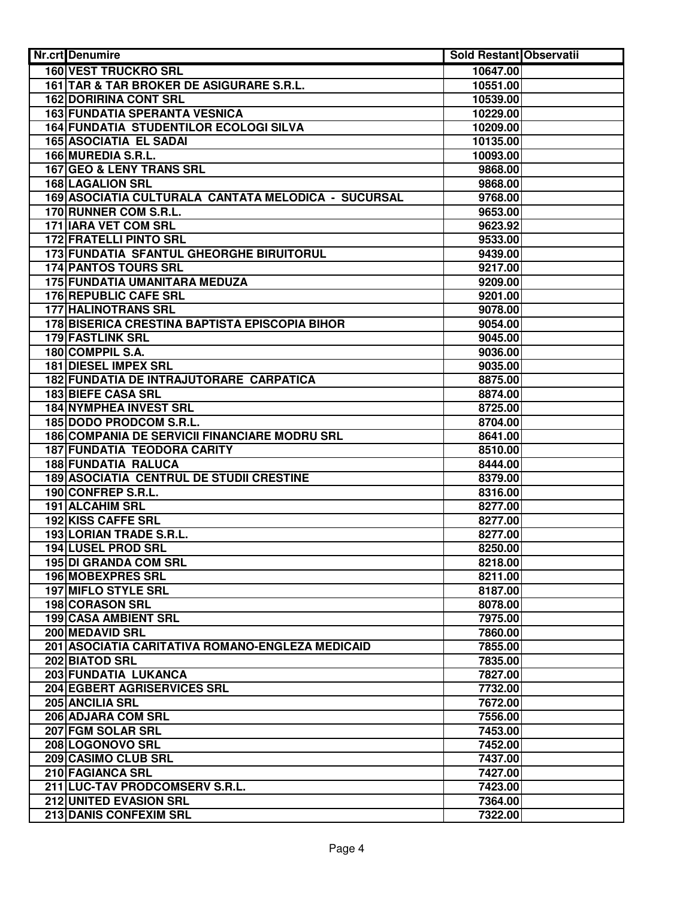| <b>Nr.crt</b> Denumire                              | <b>Sold Restant Observatii</b> |  |
|-----------------------------------------------------|--------------------------------|--|
| <b>160 VEST TRUCKRO SRL</b>                         | 10647.00                       |  |
| 161 TAR & TAR BROKER DE ASIGURARE S.R.L.            | 10551.00                       |  |
| <b>162 DORIRINA CONT SRL</b>                        | 10539.00                       |  |
| <b>163 FUNDATIA SPERANTA VESNICA</b>                | 10229.00                       |  |
| <b>164 FUNDATIA STUDENTILOR ECOLOGI SILVA</b>       | 10209.00                       |  |
| <b>165 ASOCIATIA EL SADAI</b>                       | 10135.00                       |  |
| 166 MUREDIA S.R.L.                                  | 10093.00                       |  |
| 167 GEO & LENY TRANS SRL                            | 9868.00                        |  |
| <b>168 LAGALION SRL</b>                             | 9868.00                        |  |
| 169 ASOCIATIA CULTURALA CANTATA MELODICA - SUCURSAL | 9768.00                        |  |
| 170 RUNNER COM S.R.L.                               | 9653.00                        |  |
| 171 IARA VET COM SRL                                | 9623.92                        |  |
| <b>172 FRATELLI PINTO SRL</b>                       | 9533.00                        |  |
| 173 FUNDATIA SFANTUL GHEORGHE BIRUITORUL            | 9439.00                        |  |
| <b>174 PANTOS TOURS SRL</b>                         | 9217.00                        |  |
| 175 FUNDATIA UMANITARA MEDUZA                       | 9209.00                        |  |
| 176 REPUBLIC CAFE SRL                               | 9201.00                        |  |
| 177 HALINOTRANS SRL                                 | 9078.00                        |  |
| 178 BISERICA CRESTINA BAPTISTA EPISCOPIA BIHOR      | 9054.00                        |  |
| <b>179 FASTLINK SRL</b>                             | 9045.00                        |  |
| 180 COMPPIL S.A.                                    | 9036.00                        |  |
| <b>181 DIESEL IMPEX SRL</b>                         | 9035.00                        |  |
| <b>182 FUNDATIA DE INTRAJUTORARE CARPATICA</b>      | 8875.00                        |  |
| <b>183 BIEFE CASA SRL</b>                           | 8874.00                        |  |
| <b>184 NYMPHEA INVEST SRL</b>                       | 8725.00                        |  |
| 185 DODO PRODCOM S.R.L.                             | 8704.00                        |  |
| 186 COMPANIA DE SERVICII FINANCIARE MODRU SRL       | 8641.00                        |  |
| <b>187 FUNDATIA TEODORA CARITY</b>                  | 8510.00                        |  |
| <b>188 FUNDATIA RALUCA</b>                          | 8444.00                        |  |
| <b>189 ASOCIATIA CENTRUL DE STUDII CRESTINE</b>     | 8379.00                        |  |
| 190 CONFREP S.R.L.                                  | 8316.00                        |  |
| 191 ALCAHIM SRL                                     | 8277.00                        |  |
| 192 KISS CAFFE SRL                                  | 8277.00                        |  |
| 193 LORIAN TRADE S.R.L.                             | 8277.00                        |  |
| 194 LUSEL PROD SRL                                  | 8250.00                        |  |
| 195 DI GRANDA COM SRL                               | 8218.00                        |  |
| 196 MOBEXPRES SRL                                   | 8211.00                        |  |
| <b>197 MIFLO STYLE SRL</b>                          | 8187.00                        |  |
| <b>198 CORASON SRL</b>                              | 8078.00                        |  |
| 199 CASA AMBIENT SRL                                | 7975.00                        |  |
| 200 MEDAVID SRL                                     | 7860.00                        |  |
| 201 ASOCIATIA CARITATIVA ROMANO-ENGLEZA MEDICAID    | 7855.00                        |  |
| 202 BIATOD SRL                                      | 7835.00                        |  |
| 203 FUNDATIA LUKANCA                                | 7827.00                        |  |
| 204 EGBERT AGRISERVICES SRL<br>205 ANCILIA SRL      | 7732.00<br>7672.00             |  |
| 206 ADJARA COM SRL                                  | 7556.00                        |  |
| 207 FGM SOLAR SRL                                   | 7453.00                        |  |
| 208 LOGONOVO SRL                                    | 7452.00                        |  |
| 209 CASIMO CLUB SRL                                 | 7437.00                        |  |
| 210 FAGIANCA SRL                                    | 7427.00                        |  |
| 211 LUC-TAV PRODCOMSERV S.R.L.                      | 7423.00                        |  |
| 212 UNITED EVASION SRL                              | 7364.00                        |  |
| 213 DANIS CONFEXIM SRL                              | 7322.00                        |  |
|                                                     |                                |  |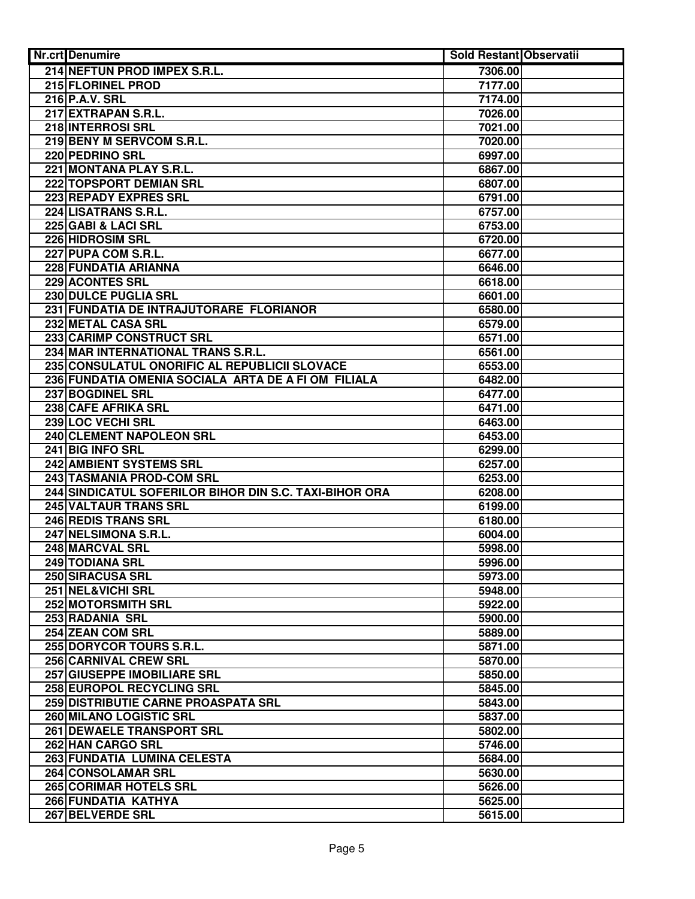| <b>Nr.crt</b> Denumire                                 | <b>Sold Restant Observatii</b> |  |
|--------------------------------------------------------|--------------------------------|--|
| 214 NEFTUN PROD IMPEX S.R.L.                           | 7306.00                        |  |
| <b>215 FLORINEL PROD</b>                               | 7177.00                        |  |
| 216 P.A.V. SRL                                         | 7174.00                        |  |
| 217 EXTRAPAN S.R.L.                                    | 7026.00                        |  |
| 218 INTERROSI SRL                                      | 7021.00                        |  |
| 219 BENY M SERVCOM S.R.L.                              | 7020.00                        |  |
| 220 PEDRINO SRL                                        | 6997.00                        |  |
| 221 MONTANA PLAY S.R.L.                                | 6867.00                        |  |
| 222 TOPSPORT DEMIAN SRL                                | 6807.00                        |  |
| 223 REPADY EXPRES SRL                                  | 6791.00                        |  |
| 224 LISATRANS S.R.L.                                   | 6757.00                        |  |
| 225 GABI & LACI SRL                                    | 6753.00                        |  |
| 226 HIDROSIM SRL                                       | 6720.00                        |  |
| 227 PUPA COM S.R.L.                                    | 6677.00                        |  |
| 228 FUNDATIA ARIANNA                                   | 6646.00                        |  |
| 229 ACONTES SRL                                        | 6618.00                        |  |
| 230 DULCE PUGLIA SRL                                   | 6601.00                        |  |
| 231 FUNDATIA DE INTRAJUTORARE FLORIANOR                | 6580.00                        |  |
| 232 METAL CASA SRL                                     | 6579.00                        |  |
| 233 CARIMP CONSTRUCT SRL                               | 6571.00                        |  |
| 234 MAR INTERNATIONAL TRANS S.R.L.                     | 6561.00                        |  |
| 235 CONSULATUL ONORIFIC AL REPUBLICII SLOVACE          | 6553.00                        |  |
| 236 FUNDATIA OMENIA SOCIALA ARTA DE A FI OM FILIALA    | 6482.00                        |  |
| 237 BOGDINEL SRL                                       | 6477.00                        |  |
| 238 CAFE AFRIKA SRL                                    | 6471.00                        |  |
| 239 LOC VECHI SRL                                      | 6463.00                        |  |
| 240 CLEMENT NAPOLEON SRL                               | 6453.00                        |  |
| 241 BIG INFO SRL                                       | 6299.00                        |  |
| 242 AMBIENT SYSTEMS SRL                                | 6257.00                        |  |
| 243 TASMANIA PROD-COM SRL                              | 6253.00                        |  |
| 244 SINDICATUL SOFERILOR BIHOR DIN S.C. TAXI-BIHOR ORA | 6208.00                        |  |
| 245 VALTAUR TRANS SRL                                  | 6199.00                        |  |
| 246 REDIS TRANS SRL                                    | 6180.00                        |  |
| 247 NELSIMONA S.R.L.                                   | 6004.00                        |  |
| 248 MARCVAL SRL                                        | 5998.00                        |  |
| 249 TODIANA SRL                                        | 5996.00                        |  |
| 250 SIRACUSA SRL                                       | 5973.00                        |  |
| 251 NEL&VICHI SRL                                      | 5948.00                        |  |
| <b>252 MOTORSMITH SRL</b>                              | 5922.00                        |  |
| 253 RADANIA SRL                                        | 5900.00                        |  |
| 254 ZEAN COM SRL                                       | 5889.00                        |  |
| 255 DORYCOR TOURS S.R.L.                               | 5871.00                        |  |
| 256 CARNIVAL CREW SRL                                  | 5870.00                        |  |
| 257 GIUSEPPE IMOBILIARE SRL                            | 5850.00                        |  |
| 258 EUROPOL RECYCLING SRL                              | 5845.00                        |  |
| 259 DISTRIBUTIE CARNE PROASPATA SRL                    | 5843.00                        |  |
| 260 MILANO LOGISTIC SRL                                | 5837.00                        |  |
| 261 DEWAELE TRANSPORT SRL                              | 5802.00                        |  |
| 262 HAN CARGO SRL                                      | 5746.00                        |  |
| 263 FUNDATIA LUMINA CELESTA                            | 5684.00                        |  |
| 264 CONSOLAMAR SRL                                     | 5630.00                        |  |
| 265 CORIMAR HOTELS SRL                                 | 5626.00                        |  |
| 266 FUNDATIA KATHYA                                    | 5625.00                        |  |
| 267 BELVERDE SRL                                       | 5615.00                        |  |